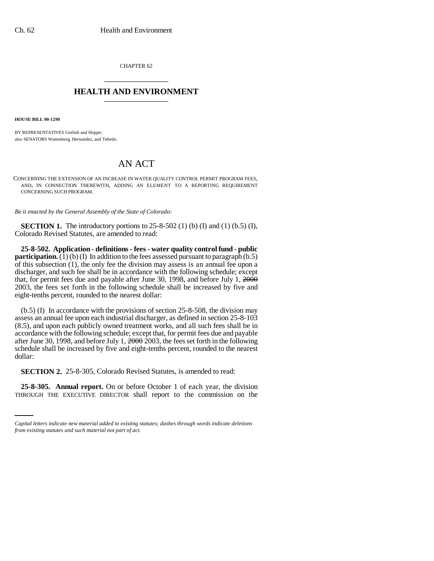CHAPTER 62 \_\_\_\_\_\_\_\_\_\_\_\_\_\_\_

## **HEALTH AND ENVIRONMENT** \_\_\_\_\_\_\_\_\_\_\_\_\_\_\_

**HOUSE BILL 00-1290** 

BY REPRESENTATIVES Gotlieb and Hoppe; also SENATORS Wattenberg, Hernandez, and Tebedo.

## AN ACT

CONCERNING THE EXTENSION OF AN INCREASE IN WATER QUALITY CONTROL PERMIT PROGRAM FEES, AND, IN CONNECTION THEREWITH, ADDING AN ELEMENT TO A REPORTING REQUIREMENT CONCERNING SUCH PROGRAM.

*Be it enacted by the General Assembly of the State of Colorado:*

**SECTION 1.** The introductory portions to 25-8-502 (1) (b) (I) and (1) (b.5) (I), Colorado Revised Statutes, are amended to read:

**25-8-502. Application - definitions - fees - water quality control fund - public participation.** (1) (b) (I) In addition to the fees assessed pursuant to paragraph (b.5) of this subsection (1), the only fee the division may assess is an annual fee upon a discharger, and such fee shall be in accordance with the following schedule; except that, for permit fees due and payable after June 30, 1998, and before July 1,  $2000$ 2003, the fees set forth in the following schedule shall be increased by five and eight-tenths percent, rounded to the nearest dollar:

(b.5) (I) In accordance with the provisions of section 25-8-508, the division may assess an annual fee upon each industrial discharger, as defined in section 25-8-103 (8.5), and upon each publicly owned treatment works, and all such fees shall be in accordance with the following schedule; except that, for permit fees due and payable after June 30, 1998, and before July 1, 2000 2003, the fees set forth in the following schedule shall be increased by five and eight-tenths percent, rounded to the nearest dollar:

**SECTION 2.** 25-8-305, Colorado Revised Statutes, is amended to read:

**25-8-305. Annual report.** On or before October 1 of each year, the division THROUGH THE EXECUTIVE DIRECTOR shall report to the commission on the

*Capital letters indicate new material added to existing statutes; dashes through words indicate deletions from existing statutes and such material not part of act.*